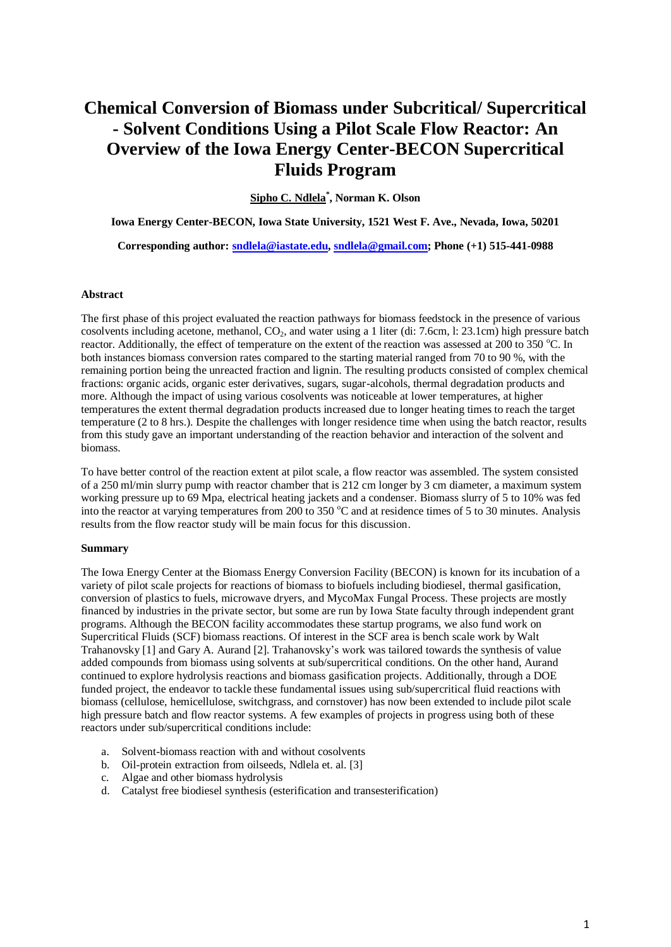## **Chemical Conversion of Biomass under Subcritical/ Supercritical - Solvent Conditions Using a Pilot Scale Flow Reactor: An Overview of the Iowa Energy Center-BECON Supercritical Fluids Program**

**Sipho C. Ndlela\* , Norman K. Olson**

**Iowa Energy Center-BECON, Iowa State University, 1521 West F. Ave., Nevada, Iowa, 50201**

**Corresponding author: [sndlela@iastate.edu,](mailto:sndlela@iastate.edu) [sndlela@gmail.com;](mailto:sndlela@gmail.com) Phone (+1) 515-441-0988**

## **Abstract**

The first phase of this project evaluated the reaction pathways for biomass feedstock in the presence of various cosolvents including acetone, methanol,  $CO<sub>2</sub>$ , and water using a 1 liter (di: 7.6cm, l: 23.1cm) high pressure batch reactor. Additionally, the effect of temperature on the extent of the reaction was assessed at 200 to 350  $^{\circ}$ C. In both instances biomass conversion rates compared to the starting material ranged from 70 to 90 %, with the remaining portion being the unreacted fraction and lignin. The resulting products consisted of complex chemical fractions: organic acids, organic ester derivatives, sugars, sugar-alcohols, thermal degradation products and more. Although the impact of using various cosolvents was noticeable at lower temperatures, at higher temperatures the extent thermal degradation products increased due to longer heating times to reach the target temperature (2 to 8 hrs.). Despite the challenges with longer residence time when using the batch reactor, results from this study gave an important understanding of the reaction behavior and interaction of the solvent and biomass.

To have better control of the reaction extent at pilot scale, a flow reactor was assembled. The system consisted of a 250 ml/min slurry pump with reactor chamber that is 212 cm longer by 3 cm diameter, a maximum system working pressure up to 69 Mpa, electrical heating jackets and a condenser. Biomass slurry of 5 to 10% was fed into the reactor at varying temperatures from 200 to 350 °C and at residence times of 5 to 30 minutes. Analysis results from the flow reactor study will be main focus for this discussion.

## **Summary**

The Iowa Energy Center at the Biomass Energy Conversion Facility (BECON) is known for its incubation of a variety of pilot scale projects for reactions of biomass to biofuels including biodiesel, thermal gasification, conversion of plastics to fuels, microwave dryers, and MycoMax Fungal Process. These projects are mostly financed by industries in the private sector, but some are run by Iowa State faculty through independent grant programs. Although the BECON facility accommodates these startup programs, we also fund work on Supercritical Fluids (SCF) biomass reactions. Of interest in the SCF area is bench scale work by Walt Trahanovsky [1] and Gary A. Aurand [2]. Trahanovsky's work was tailored towards the synthesis of value added compounds from biomass using solvents at sub/supercritical conditions. On the other hand, Aurand continued to explore hydrolysis reactions and biomass gasification projects. Additionally, through a DOE funded project, the endeavor to tackle these fundamental issues using sub/supercritical fluid reactions with biomass (cellulose, hemicellulose, switchgrass, and cornstover) has now been extended to include pilot scale high pressure batch and flow reactor systems. A few examples of projects in progress using both of these reactors under sub/supercritical conditions include:

- a. Solvent-biomass reaction with and without cosolvents
- b. Oil-protein extraction from oilseeds, Ndlela et. al. [3]
- c. Algae and other biomass hydrolysis
- d. Catalyst free biodiesel synthesis (esterification and transesterification)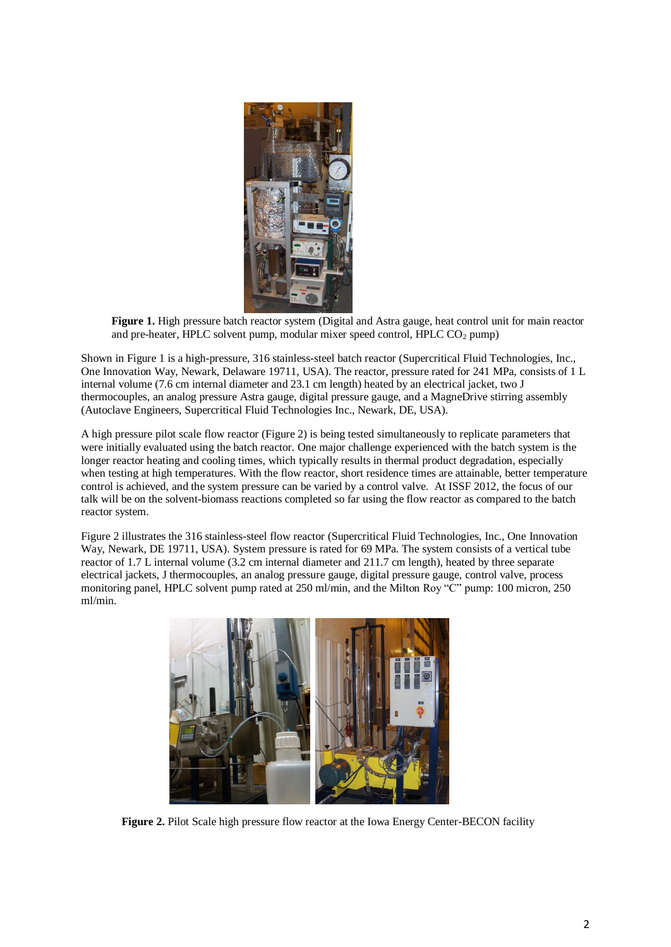

**Figure 1.** High pressure batch reactor system (Digital and Astra gauge, heat control unit for main reactor and pre-heater, HPLC solvent pump, modular mixer speed control, HPLC  $CO<sub>2</sub>$  pump)

Shown in Figure 1 is a high-pressure, 316 stainless-steel batch reactor (Supercritical Fluid Technologies, Inc., One Innovation Way, Newark, Delaware 19711, USA). The reactor, pressure rated for 241 MPa, consists of 1 L internal volume (7.6 cm internal diameter and 23.1 cm length) heated by an electrical jacket, two J thermocouples, an analog pressure Astra gauge, digital pressure gauge, and a MagneDrive stirring assembly (Autoclave Engineers, Supercritical Fluid Technologies Inc., Newark, DE, USA).

A high pressure pilot scale flow reactor (Figure 2) is being tested simultaneously to replicate parameters that were initially evaluated using the batch reactor. One major challenge experienced with the batch system is the longer reactor heating and cooling times, which typically results in thermal product degradation, especially when testing at high temperatures. With the flow reactor, short residence times are attainable, better temperature control is achieved, and the system pressure can be varied by a control valve. At ISSF 2012, the focus of our talk will be on the solvent-biomass reactions completed so far using the flow reactor as compared to the batch reactor system.

Figure 2 illustrates the 316 stainless-steel flow reactor (Supercritical Fluid Technologies, Inc., One Innovation Way, Newark, DE 19711, USA). System pressure is rated for 69 MPa. The system consists of a vertical tube reactor of 1.7 L internal volume (3.2 cm internal diameter and 211.7 cm length), heated by three separate electrical jackets, J thermocouples, an analog pressure gauge, digital pressure gauge, control valve, process monitoring panel, HPLC solvent pump rated at 250 ml/min, and the Milton Roy "C" pump: 100 micron, 250 ml/min.



**Figure 2.** Pilot Scale high pressure flow reactor at the Iowa Energy Center-BECON facility